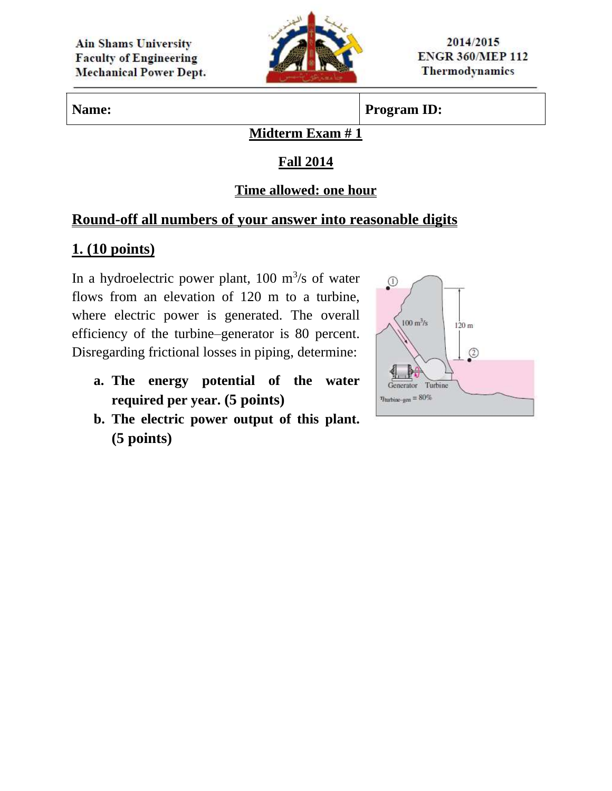

**Name: Program ID:** 

#### **Midterm Exam # 1**

## **Fall 2014**

### **Time allowed: one hour**

## **Round-off all numbers of your answer into reasonable digits**

## **1. (10 points)**

In a hydroelectric power plant,  $100 \text{ m}^3\text{/s}$  of water flows from an elevation of 120 m to a turbine, where electric power is generated. The overall efficiency of the turbine–generator is 80 percent. Disregarding frictional losses in piping, determine:

- **a. The energy potential of the water required per year. (5 points)**
- **b. The electric power output of this plant. (5 points)**

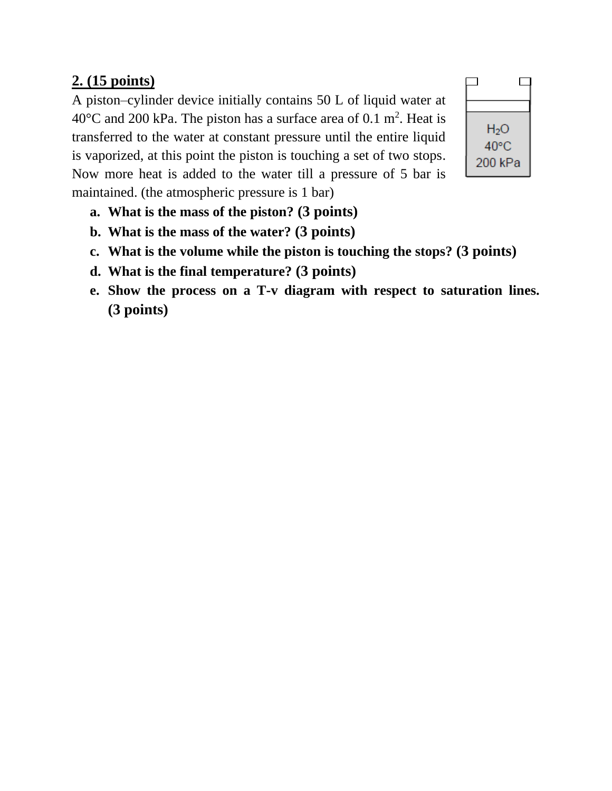# **2. (15 points)**

A piston–cylinder device initially contains 50 L of liquid water at 40 $^{\circ}$ C and 200 kPa. The piston has a surface area of 0.1 m<sup>2</sup>. Heat is transferred to the water at constant pressure until the entire liquid is vaporized, at this point the piston is touching a set of two stops. Now more heat is added to the water till a pressure of 5 bar is maintained. (the atmospheric pressure is 1 bar)



- **a. What is the mass of the piston? (3 points)**
- **b. What is the mass of the water? (3 points)**
- **c. What is the volume while the piston is touching the stops? (3 points)**
- **d. What is the final temperature? (3 points)**
- **e. Show the process on a T-v diagram with respect to saturation lines. (3 points)**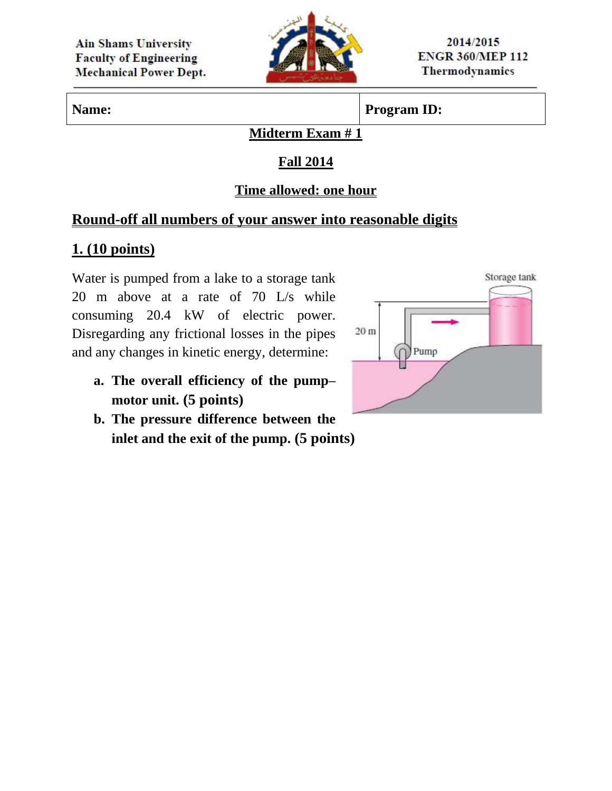

## **Name: Program ID:**

#### **Midterm Exam # 1**

## **Fall 2014**

### **Time allowed: one hour**

## **Round-off all numbers of your answer into reasonable digits**

## **1. (10 points)**

Water is pumped from a lake to a storage tank 20 m above at a rate of 70 L/s while consuming 20.4 kW of electric power. Disregarding any frictional losses in the pipes and any changes in kinetic energy, determine:

- **a. The overall efficiency of the pump– motor unit. (5 points)**
- **b. The pressure difference between the inlet and the exit of the pump. (5 points)**